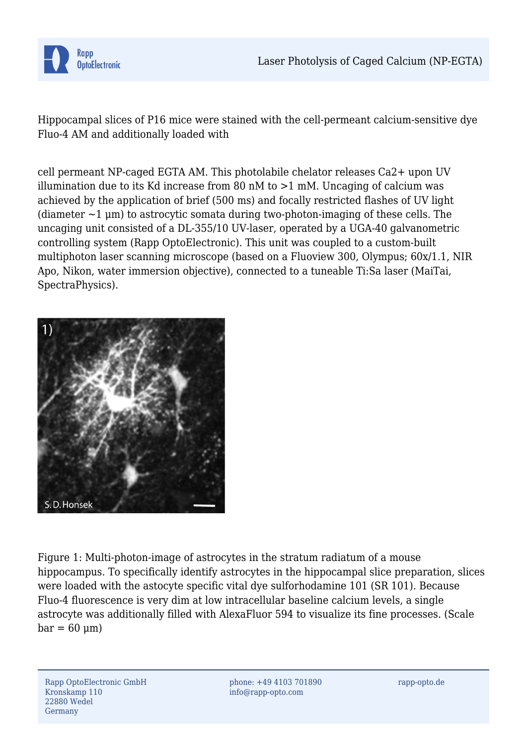

Hippocampal slices of P16 mice were stained with the cell-permeant calcium-sensitive dye Fluo-4 AM and additionally loaded with

cell permeant NP-caged EGTA AM. This photolabile chelator releases Ca2+ upon UV illumination due to its Kd increase from 80 nM to  $>1$  mM. Uncaging of calcium was achieved by the application of brief (500 ms) and focally restricted flashes of UV light (diameter  $\sim$ 1 µm) to astrocytic somata during two-photon-imaging of these cells. The uncaging unit consisted of a DL-355/10 UV-laser, operated by a UGA-40 galvanometric controlling system (Rapp OptoElectronic). This unit was coupled to a custom-built multiphoton laser scanning microscope (based on a Fluoview 300, Olympus; 60x/1.1, NIR Apo, Nikon, water immersion objective), connected to a tuneable Ti:Sa laser (MaiTai, SpectraPhysics).



Figure 1: Multi-photon-image of astrocytes in the stratum radiatum of a mouse hippocampus. To specifically identify astrocytes in the hippocampal slice preparation, slices were loaded with the astocyte specific vital dye sulforhodamine 101 (SR 101). Because Fluo-4 fluorescence is very dim at low intracellular baseline calcium levels, a single astrocyte was additionally filled with AlexaFluor 594 to visualize its fine processes. (Scale  $bar = 60$  um)

phone: +49 4103 701890 info@rapp-opto.com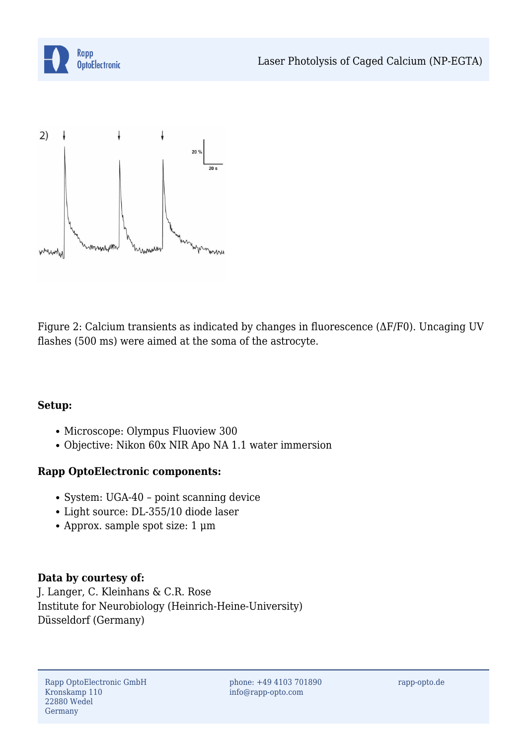



Figure 2: Calcium transients as indicated by changes in fluorescence (ΔF/F0). Uncaging UV flashes (500 ms) were aimed at the soma of the astrocyte.

## **Setup:**

- Microscope: Olympus Fluoview 300
- Objective: Nikon 60x NIR Apo NA 1.1 water immersion

## **Rapp OptoElectronic components:**

- System: UGA-40 point scanning device
- Light source: DL-355/10 diode laser
- Approx. sample spot size: 1 μm

## **Data by courtesy of:**

J. Langer, C. Kleinhans & C.R. Rose Institute for Neurobiology (Heinrich-Heine-University) Düsseldorf (Germany)